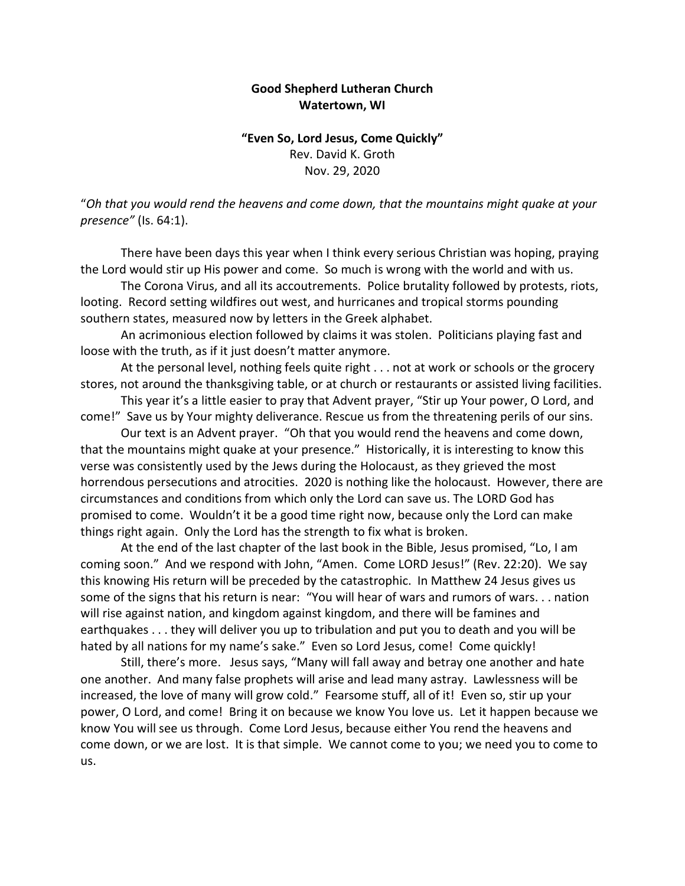## **Good Shepherd Lutheran Church Watertown, WI**

## **"Even So, Lord Jesus, Come Quickly"** Rev. David K. Groth Nov. 29, 2020

"*Oh that you would rend the heavens and come down, that the mountains might quake at your presence"* (Is. 64:1).

There have been days this year when I think every serious Christian was hoping, praying the Lord would stir up His power and come. So much is wrong with the world and with us.

The Corona Virus, and all its accoutrements. Police brutality followed by protests, riots, looting. Record setting wildfires out west, and hurricanes and tropical storms pounding southern states, measured now by letters in the Greek alphabet.

An acrimonious election followed by claims it was stolen. Politicians playing fast and loose with the truth, as if it just doesn't matter anymore.

At the personal level, nothing feels quite right . . . not at work or schools or the grocery stores, not around the thanksgiving table, or at church or restaurants or assisted living facilities.

This year it's a little easier to pray that Advent prayer, "Stir up Your power, O Lord, and come!" Save us by Your mighty deliverance. Rescue us from the threatening perils of our sins.

Our text is an Advent prayer. "Oh that you would rend the heavens and come down, that the mountains might quake at your presence." Historically, it is interesting to know this verse was consistently used by the Jews during the Holocaust, as they grieved the most horrendous persecutions and atrocities. 2020 is nothing like the holocaust. However, there are circumstances and conditions from which only the Lord can save us. The LORD God has promised to come. Wouldn't it be a good time right now, because only the Lord can make things right again. Only the Lord has the strength to fix what is broken.

At the end of the last chapter of the last book in the Bible, Jesus promised, "Lo, I am coming soon." And we respond with John, "Amen. Come LORD Jesus!" (Rev. 22:20). We say this knowing His return will be preceded by the catastrophic. In Matthew 24 Jesus gives us some of the signs that his return is near: "You will hear of wars and rumors of wars. . . nation will rise against nation, and kingdom against kingdom, and there will be famines and earthquakes . . . they will deliver you up to tribulation and put you to death and you will be hated by all nations for my name's sake." Even so Lord Jesus, come! Come quickly!

Still, there's more. Jesus says, "Many will fall away and betray one another and hate one another. And many false prophets will arise and lead many astray. Lawlessness will be increased, the love of many will grow cold." Fearsome stuff, all of it! Even so, stir up your power, O Lord, and come! Bring it on because we know You love us. Let it happen because we know You will see us through. Come Lord Jesus, because either You rend the heavens and come down, or we are lost. It is that simple. We cannot come to you; we need you to come to us.